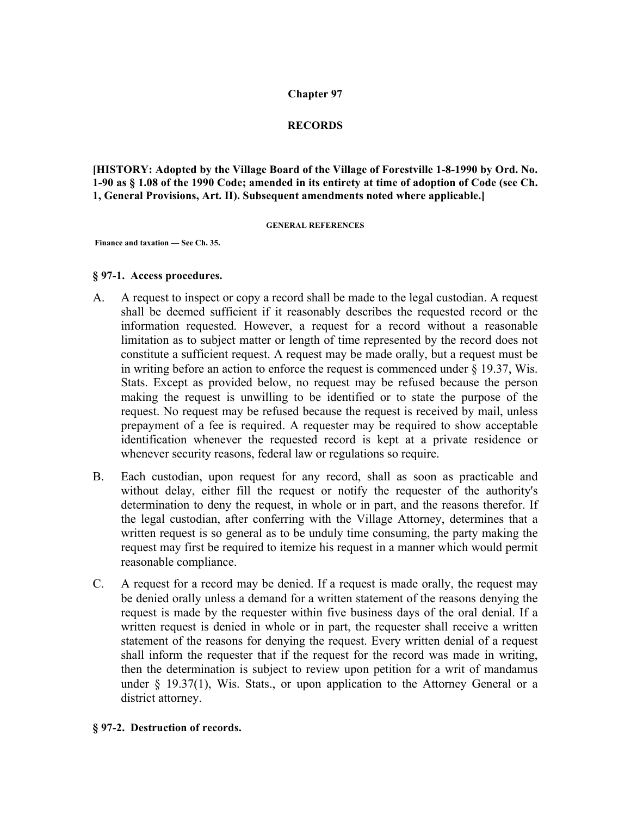## **Chapter 97**

# **RECORDS**

**[HISTORY: Adopted by the Village Board of the Village of Forestville 1-8-1990 by Ord. No. 1-90 as § 1.08 of the 1990 Code; amended in its entirety at time of adoption of Code (see Ch. 1, General Provisions, Art. II). Subsequent amendments noted where applicable.]**

#### **GENERAL REFERENCES**

**Finance and taxation — See Ch. 35.**

#### **§ 97-1. Access procedures.**

- A. A request to inspect or copy a record shall be made to the legal custodian. A request shall be deemed sufficient if it reasonably describes the requested record or the information requested. However, a request for a record without a reasonable limitation as to subject matter or length of time represented by the record does not constitute a sufficient request. A request may be made orally, but a request must be in writing before an action to enforce the request is commenced under § 19.37, Wis. Stats. Except as provided below, no request may be refused because the person making the request is unwilling to be identified or to state the purpose of the request. No request may be refused because the request is received by mail, unless prepayment of a fee is required. A requester may be required to show acceptable identification whenever the requested record is kept at a private residence or whenever security reasons, federal law or regulations so require.
- B. Each custodian, upon request for any record, shall as soon as practicable and without delay, either fill the request or notify the requester of the authority's determination to deny the request, in whole or in part, and the reasons therefor. If the legal custodian, after conferring with the Village Attorney, determines that a written request is so general as to be unduly time consuming, the party making the request may first be required to itemize his request in a manner which would permit reasonable compliance.
- C. A request for a record may be denied. If a request is made orally, the request may be denied orally unless a demand for a written statement of the reasons denying the request is made by the requester within five business days of the oral denial. If a written request is denied in whole or in part, the requester shall receive a written statement of the reasons for denying the request. Every written denial of a request shall inform the requester that if the request for the record was made in writing, then the determination is subject to review upon petition for a writ of mandamus under  $\S$  19.37(1), Wis. Stats., or upon application to the Attorney General or a district attorney.

### **§ 97-2. Destruction of records.**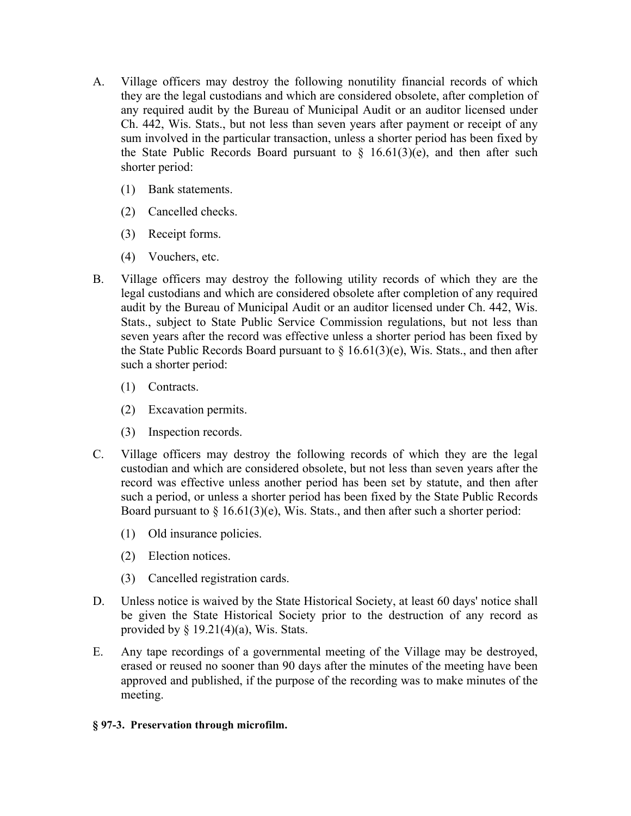- A. Village officers may destroy the following nonutility financial records of which they are the legal custodians and which are considered obsolete, after completion of any required audit by the Bureau of Municipal Audit or an auditor licensed under Ch. 442, Wis. Stats., but not less than seven years after payment or receipt of any sum involved in the particular transaction, unless a shorter period has been fixed by the State Public Records Board pursuant to  $\S$  16.61(3)(e), and then after such shorter period:
	- (1) Bank statements.
	- (2) Cancelled checks.
	- (3) Receipt forms.
	- (4) Vouchers, etc.
- B. Village officers may destroy the following utility records of which they are the legal custodians and which are considered obsolete after completion of any required audit by the Bureau of Municipal Audit or an auditor licensed under Ch. 442, Wis. Stats., subject to State Public Service Commission regulations, but not less than seven years after the record was effective unless a shorter period has been fixed by the State Public Records Board pursuant to  $\S$  16.61(3)(e), Wis. Stats., and then after such a shorter period:
	- (1) Contracts.
	- (2) Excavation permits.
	- (3) Inspection records.
- C. Village officers may destroy the following records of which they are the legal custodian and which are considered obsolete, but not less than seven years after the record was effective unless another period has been set by statute, and then after such a period, or unless a shorter period has been fixed by the State Public Records Board pursuant to  $\S$  16.61(3)(e), Wis. Stats., and then after such a shorter period:
	- (1) Old insurance policies.
	- (2) Election notices.
	- (3) Cancelled registration cards.
- D. Unless notice is waived by the State Historical Society, at least 60 days' notice shall be given the State Historical Society prior to the destruction of any record as provided by  $\S$  19.21(4)(a), Wis. Stats.
- E. Any tape recordings of a governmental meeting of the Village may be destroyed, erased or reused no sooner than 90 days after the minutes of the meeting have been approved and published, if the purpose of the recording was to make minutes of the meeting.

# **§ 97-3. Preservation through microfilm.**